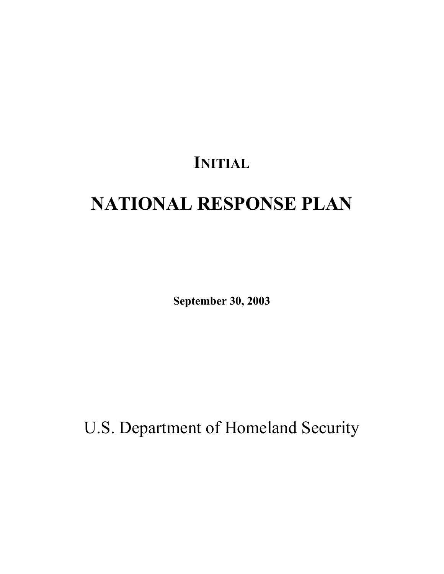# **INITIAL**

# **NATIONAL RESPONSE PLAN**

**September 30, 2003** 

U.S. Department of Homeland Security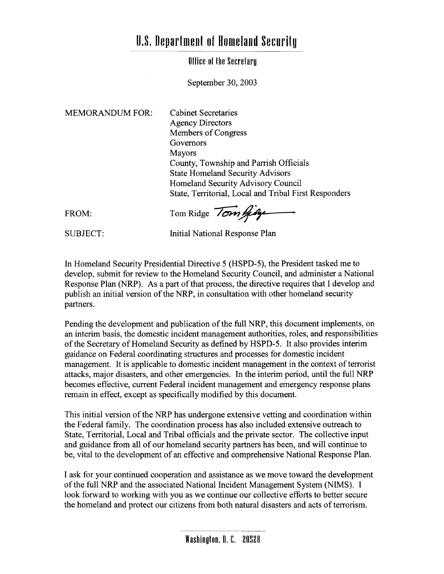## **U.S. Department of Homeland Security**

#### Office of the Secretary

September 30, 2003

**MEMORANDUM FOR:** 

**Cabinet Secretaries Agency Directors** Members of Congress Governors **Mayors** County, Township and Parrish Officials **State Homeland Security Advisors** Homeland Security Advisory Council State, Territorial, Local and Tribal First Responders

FROM:

Tom Ridge Tom gig

**SUBJECT:** 

**Initial National Response Plan** 

In Homeland Security Presidential Directive 5 (HSPD-5), the President tasked me to develop, submit for review to the Homeland Security Council, and administer a National Response Plan (NRP). As a part of that process, the directive requires that I develop and publish an initial version of the NRP, in consultation with other homeland security partners.

Pending the development and publication of the full NRP, this document implements, on an interim basis, the domestic incident management authorities, roles, and responsibilities of the Secretary of Homeland Security as defined by HSPD-5. It also provides interim guidance on Federal coordinating structures and processes for domestic incident management. It is applicable to domestic incident management in the context of terrorist attacks, major disasters, and other emergencies. In the interim period, until the full NRP becomes effective, current Federal incident management and emergency response plans remain in effect, except as specifically modified by this document.

This initial version of the NRP has undergone extensive vetting and coordination within the Federal family. The coordination process has also included extensive outreach to State, Territorial, Local and Tribal officials and the private sector. The collective input and guidance from all of our homeland security partners has been, and will continue to be, vital to the development of an effective and comprehensive National Response Plan.

I ask for your continued cooperation and assistance as we move toward the development of the full NRP and the associated National Incident Management System (NIMS). I look forward to working with you as we continue our collective efforts to better secure the homeland and protect our citizens from both natural disasters and acts of terrorism.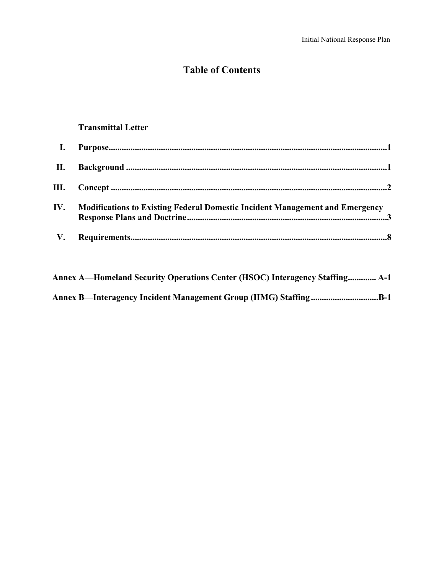### **Table of Contents**

#### **Transmittal Letter**

| $\mathbf{I}$ . |                                                                              |
|----------------|------------------------------------------------------------------------------|
|                |                                                                              |
|                |                                                                              |
| IV.            | Modifications to Existing Federal Domestic Incident Management and Emergency |
| V.             |                                                                              |

| Annex A—Homeland Security Operations Center (HSOC) Interagency Staffing A-1 |
|-----------------------------------------------------------------------------|
| Annex B—Interagency Incident Management Group (IIMG) Staffing B-1           |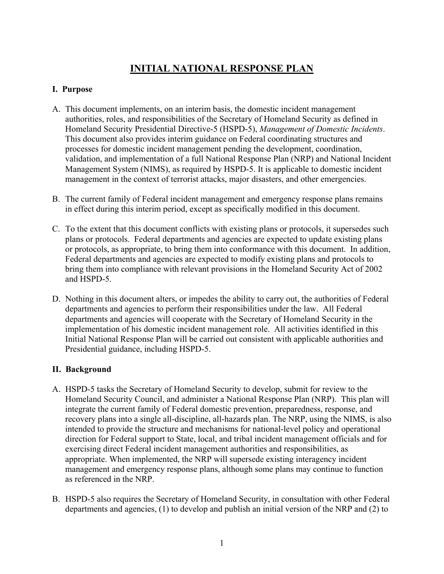### **INITIAL NATIONAL RESPONSE PLAN**

#### **I. Purpose**

- A. This document implements, on an interim basis, the domestic incident management authorities, roles, and responsibilities of the Secretary of Homeland Security as defined in Homeland Security Presidential Directive-5 (HSPD-5), *Management of Domestic Incidents*. This document also provides interim guidance on Federal coordinating structures and processes for domestic incident management pending the development, coordination, validation, and implementation of a full National Response Plan (NRP) and National Incident Management System (NIMS), as required by HSPD-5. It is applicable to domestic incident management in the context of terrorist attacks, major disasters, and other emergencies.
- B. The current family of Federal incident management and emergency response plans remains in effect during this interim period, except as specifically modified in this document.
- C. To the extent that this document conflicts with existing plans or protocols, it supersedes such plans or protocols. Federal departments and agencies are expected to update existing plans or protocols, as appropriate, to bring them into conformance with this document. In addition, Federal departments and agencies are expected to modify existing plans and protocols to bring them into compliance with relevant provisions in the Homeland Security Act of 2002 and HSPD-5.
- D. Nothing in this document alters, or impedes the ability to carry out, the authorities of Federal departments and agencies to perform their responsibilities under the law. All Federal departments and agencies will cooperate with the Secretary of Homeland Security in the implementation of his domestic incident management role. All activities identified in this Initial National Response Plan will be carried out consistent with applicable authorities and Presidential guidance, including HSPD-5.

#### **II. Background**

- A. HSPD-5 tasks the Secretary of Homeland Security to develop, submit for review to the Homeland Security Council, and administer a National Response Plan (NRP). This plan will integrate the current family of Federal domestic prevention, preparedness, response, and recovery plans into a single all-discipline, all-hazards plan. The NRP, using the NIMS, is also intended to provide the structure and mechanisms for national-level policy and operational direction for Federal support to State, local, and tribal incident management officials and for exercising direct Federal incident management authorities and responsibilities, as appropriate. When implemented, the NRP will supersede existing interagency incident management and emergency response plans, although some plans may continue to function as referenced in the NRP.
- B. HSPD-5 also requires the Secretary of Homeland Security, in consultation with other Federal departments and agencies, (1) to develop and publish an initial version of the NRP and (2) to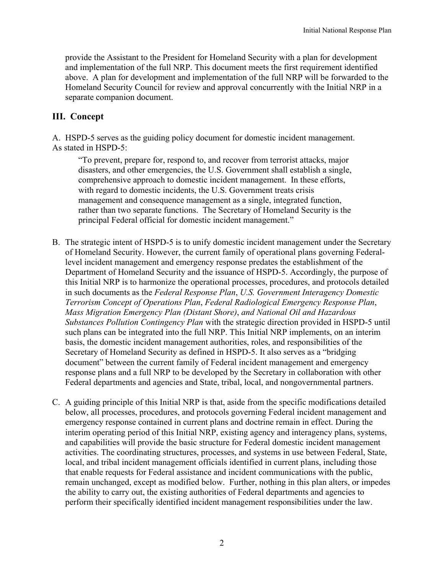provide the Assistant to the President for Homeland Security with a plan for development and implementation of the full NRP. This document meets the first requirement identified above. A plan for development and implementation of the full NRP will be forwarded to the Homeland Security Council for review and approval concurrently with the Initial NRP in a separate companion document.

#### **III. Concept**

A. HSPD-5 serves as the guiding policy document for domestic incident management. As stated in HSPD-5:

"To prevent, prepare for, respond to, and recover from terrorist attacks, major disasters, and other emergencies, the U.S. Government shall establish a single, comprehensive approach to domestic incident management. In these efforts, with regard to domestic incidents, the U.S. Government treats crisis management and consequence management as a single, integrated function, rather than two separate functions. The Secretary of Homeland Security is the principal Federal official for domestic incident management."

- B. The strategic intent of HSPD-5 is to unify domestic incident management under the Secretary of Homeland Security. However, the current family of operational plans governing Federallevel incident management and emergency response predates the establishment of the Department of Homeland Security and the issuance of HSPD-5. Accordingly, the purpose of this Initial NRP is to harmonize the operational processes, procedures, and protocols detailed in such documents as the *Federal Response Plan*, *U.S. Government Interagency Domestic Terrorism Concept of Operations Plan*, *Federal Radiological Emergency Response Plan*, *Mass Migration Emergency Plan (Distant Shore)*, *and National Oil and Hazardous Substances Pollution Contingency Plan* with the strategic direction provided in HSPD-5 until such plans can be integrated into the full NRP. This Initial NRP implements, on an interim basis, the domestic incident management authorities, roles, and responsibilities of the Secretary of Homeland Security as defined in HSPD-5. It also serves as a "bridging document" between the current family of Federal incident management and emergency response plans and a full NRP to be developed by the Secretary in collaboration with other Federal departments and agencies and State, tribal, local, and nongovernmental partners.
- C. A guiding principle of this Initial NRP is that, aside from the specific modifications detailed below, all processes, procedures, and protocols governing Federal incident management and emergency response contained in current plans and doctrine remain in effect. During the interim operating period of this Initial NRP, existing agency and interagency plans, systems, and capabilities will provide the basic structure for Federal domestic incident management activities. The coordinating structures, processes, and systems in use between Federal, State, local, and tribal incident management officials identified in current plans, including those that enable requests for Federal assistance and incident communications with the public, remain unchanged, except as modified below. Further, nothing in this plan alters, or impedes the ability to carry out, the existing authorities of Federal departments and agencies to perform their specifically identified incident management responsibilities under the law.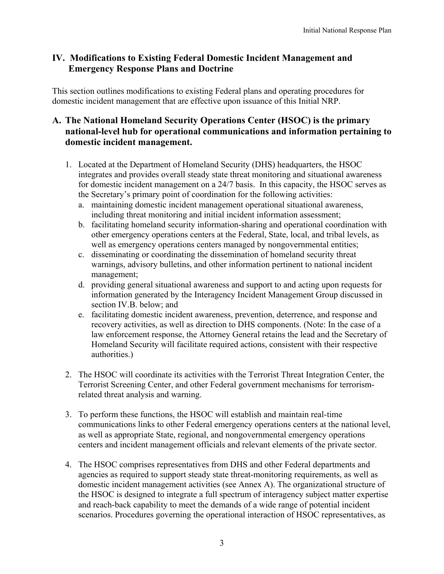#### **IV. Modifications to Existing Federal Domestic Incident Management and Emergency Response Plans and Doctrine**

This section outlines modifications to existing Federal plans and operating procedures for domestic incident management that are effective upon issuance of this Initial NRP.

#### **A. The National Homeland Security Operations Center (HSOC) is the primary national-level hub for operational communications and information pertaining to domestic incident management.**

- 1. Located at the Department of Homeland Security (DHS) headquarters, the HSOC integrates and provides overall steady state threat monitoring and situational awareness for domestic incident management on a 24/7 basis. In this capacity, the HSOC serves as the Secretary's primary point of coordination for the following activities:
	- a. maintaining domestic incident management operational situational awareness, including threat monitoring and initial incident information assessment;
	- b. facilitating homeland security information-sharing and operational coordination with other emergency operations centers at the Federal, State, local, and tribal levels, as well as emergency operations centers managed by nongovernmental entities;
	- c. disseminating or coordinating the dissemination of homeland security threat warnings, advisory bulletins, and other information pertinent to national incident management;
	- d. providing general situational awareness and support to and acting upon requests for information generated by the Interagency Incident Management Group discussed in section IV.B. below; and
	- e. facilitating domestic incident awareness, prevention, deterrence, and response and recovery activities, as well as direction to DHS components. (Note: In the case of a law enforcement response, the Attorney General retains the lead and the Secretary of Homeland Security will facilitate required actions, consistent with their respective authorities.)
- 2. The HSOC will coordinate its activities with the Terrorist Threat Integration Center, the Terrorist Screening Center, and other Federal government mechanisms for terrorismrelated threat analysis and warning.
- 3. To perform these functions, the HSOC will establish and maintain real-time communications links to other Federal emergency operations centers at the national level, as well as appropriate State, regional, and nongovernmental emergency operations centers and incident management officials and relevant elements of the private sector.
- 4. The HSOC comprises representatives from DHS and other Federal departments and agencies as required to support steady state threat-monitoring requirements, as well as domestic incident management activities (see Annex A). The organizational structure of the HSOC is designed to integrate a full spectrum of interagency subject matter expertise and reach-back capability to meet the demands of a wide range of potential incident scenarios. Procedures governing the operational interaction of HSOC representatives, as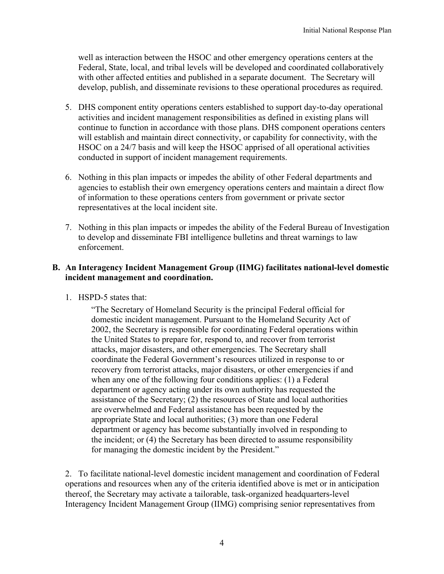well as interaction between the HSOC and other emergency operations centers at the Federal, State, local, and tribal levels will be developed and coordinated collaboratively with other affected entities and published in a separate document. The Secretary will develop, publish, and disseminate revisions to these operational procedures as required.

- 5. DHS component entity operations centers established to support day-to-day operational activities and incident management responsibilities as defined in existing plans will continue to function in accordance with those plans. DHS component operations centers will establish and maintain direct connectivity, or capability for connectivity, with the HSOC on a 24/7 basis and will keep the HSOC apprised of all operational activities conducted in support of incident management requirements.
- 6. Nothing in this plan impacts or impedes the ability of other Federal departments and agencies to establish their own emergency operations centers and maintain a direct flow of information to these operations centers from government or private sector representatives at the local incident site.
- 7. Nothing in this plan impacts or impedes the ability of the Federal Bureau of Investigation to develop and disseminate FBI intelligence bulletins and threat warnings to law enforcement.

#### **B. An Interagency Incident Management Group (IIMG) facilitates national-level domestic incident management and coordination.**

1. HSPD-5 states that:

"The Secretary of Homeland Security is the principal Federal official for domestic incident management. Pursuant to the Homeland Security Act of 2002, the Secretary is responsible for coordinating Federal operations within the United States to prepare for, respond to, and recover from terrorist attacks, major disasters, and other emergencies. The Secretary shall coordinate the Federal Government's resources utilized in response to or recovery from terrorist attacks, major disasters, or other emergencies if and when any one of the following four conditions applies: (1) a Federal department or agency acting under its own authority has requested the assistance of the Secretary; (2) the resources of State and local authorities are overwhelmed and Federal assistance has been requested by the appropriate State and local authorities; (3) more than one Federal department or agency has become substantially involved in responding to the incident; or (4) the Secretary has been directed to assume responsibility for managing the domestic incident by the President."

2. To facilitate national-level domestic incident management and coordination of Federal operations and resources when any of the criteria identified above is met or in anticipation thereof, the Secretary may activate a tailorable, task-organized headquarters-level Interagency Incident Management Group (IIMG) comprising senior representatives from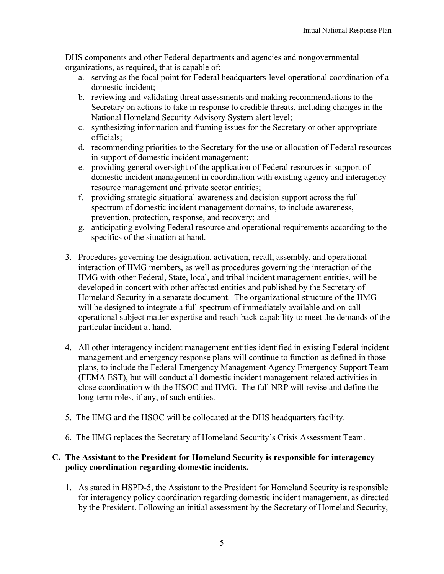DHS components and other Federal departments and agencies and nongovernmental organizations, as required, that is capable of:

- a. serving as the focal point for Federal headquarters-level operational coordination of a domestic incident;
- b. reviewing and validating threat assessments and making recommendations to the Secretary on actions to take in response to credible threats, including changes in the National Homeland Security Advisory System alert level;
- c. synthesizing information and framing issues for the Secretary or other appropriate officials;
- d. recommending priorities to the Secretary for the use or allocation of Federal resources in support of domestic incident management;
- e. providing general oversight of the application of Federal resources in support of domestic incident management in coordination with existing agency and interagency resource management and private sector entities;
- f. providing strategic situational awareness and decision support across the full spectrum of domestic incident management domains, to include awareness, prevention, protection, response, and recovery; and
- g. anticipating evolving Federal resource and operational requirements according to the specifics of the situation at hand.
- 3. Procedures governing the designation, activation, recall, assembly, and operational interaction of IIMG members, as well as procedures governing the interaction of the IIMG with other Federal, State, local, and tribal incident management entities, will be developed in concert with other affected entities and published by the Secretary of Homeland Security in a separate document. The organizational structure of the IIMG will be designed to integrate a full spectrum of immediately available and on-call operational subject matter expertise and reach-back capability to meet the demands of the particular incident at hand.
- 4. All other interagency incident management entities identified in existing Federal incident management and emergency response plans will continue to function as defined in those plans, to include the Federal Emergency Management Agency Emergency Support Team (FEMA EST), but will conduct all domestic incident management-related activities in close coordination with the HSOC and IIMG. The full NRP will revise and define the long-term roles, if any, of such entities.
- 5. The IIMG and the HSOC will be collocated at the DHS headquarters facility.
- 6. The IIMG replaces the Secretary of Homeland Security's Crisis Assessment Team.

#### **C. The Assistant to the President for Homeland Security is responsible for interagency policy coordination regarding domestic incidents.**

1. As stated in HSPD-5, the Assistant to the President for Homeland Security is responsible for interagency policy coordination regarding domestic incident management, as directed by the President. Following an initial assessment by the Secretary of Homeland Security,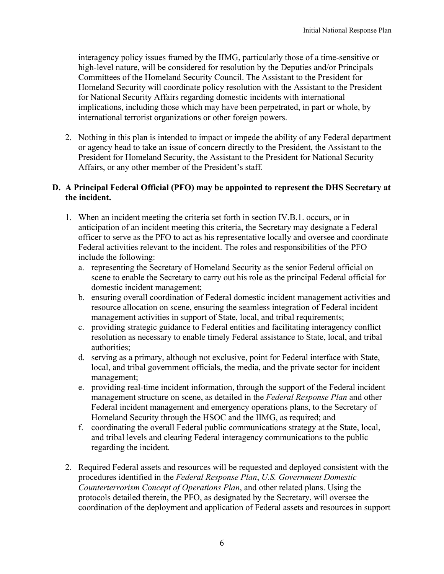interagency policy issues framed by the IIMG, particularly those of a time-sensitive or high-level nature, will be considered for resolution by the Deputies and/or Principals Committees of the Homeland Security Council. The Assistant to the President for Homeland Security will coordinate policy resolution with the Assistant to the President for National Security Affairs regarding domestic incidents with international implications, including those which may have been perpetrated, in part or whole, by international terrorist organizations or other foreign powers.

2. Nothing in this plan is intended to impact or impede the ability of any Federal department or agency head to take an issue of concern directly to the President, the Assistant to the President for Homeland Security, the Assistant to the President for National Security Affairs, or any other member of the President's staff.

#### **D. A Principal Federal Official (PFO) may be appointed to represent the DHS Secretary at the incident.**

- 1. When an incident meeting the criteria set forth in section IV.B.1. occurs, or in anticipation of an incident meeting this criteria, the Secretary may designate a Federal officer to serve as the PFO to act as his representative locally and oversee and coordinate Federal activities relevant to the incident. The roles and responsibilities of the PFO include the following:
	- a. representing the Secretary of Homeland Security as the senior Federal official on scene to enable the Secretary to carry out his role as the principal Federal official for domestic incident management;
	- b. ensuring overall coordination of Federal domestic incident management activities and resource allocation on scene, ensuring the seamless integration of Federal incident management activities in support of State, local, and tribal requirements;
	- c. providing strategic guidance to Federal entities and facilitating interagency conflict resolution as necessary to enable timely Federal assistance to State, local, and tribal authorities;
	- d. serving as a primary, although not exclusive, point for Federal interface with State, local, and tribal government officials, the media, and the private sector for incident management;
	- e. providing real-time incident information, through the support of the Federal incident management structure on scene, as detailed in the *Federal Response Plan* and other Federal incident management and emergency operations plans, to the Secretary of Homeland Security through the HSOC and the IIMG, as required; and
	- f. coordinating the overall Federal public communications strategy at the State, local, and tribal levels and clearing Federal interagency communications to the public regarding the incident.
- 2. Required Federal assets and resources will be requested and deployed consistent with the procedures identified in the *Federal Response Plan*, *U.S. Government Domestic Counterterrorism Concept of Operations Plan*, and other related plans. Using the protocols detailed therein, the PFO, as designated by the Secretary, will oversee the coordination of the deployment and application of Federal assets and resources in support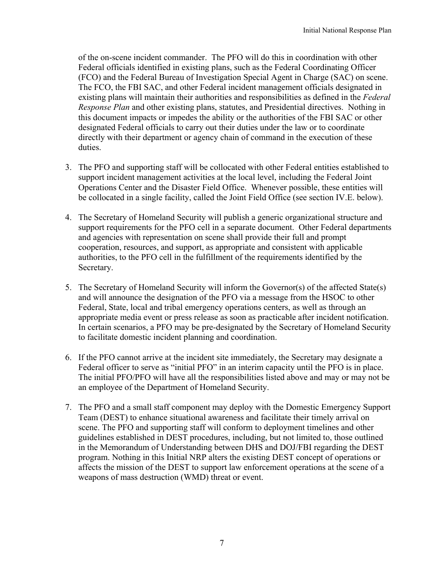of the on-scene incident commander. The PFO will do this in coordination with other Federal officials identified in existing plans, such as the Federal Coordinating Officer (FCO) and the Federal Bureau of Investigation Special Agent in Charge (SAC) on scene. The FCO, the FBI SAC, and other Federal incident management officials designated in existing plans will maintain their authorities and responsibilities as defined in the *Federal Response Plan* and other existing plans, statutes, and Presidential directives. Nothing in this document impacts or impedes the ability or the authorities of the FBI SAC or other designated Federal officials to carry out their duties under the law or to coordinate directly with their department or agency chain of command in the execution of these duties.

- 3. The PFO and supporting staff will be collocated with other Federal entities established to support incident management activities at the local level, including the Federal Joint Operations Center and the Disaster Field Office. Whenever possible, these entities will be collocated in a single facility, called the Joint Field Office (see section IV.E. below).
- 4. The Secretary of Homeland Security will publish a generic organizational structure and support requirements for the PFO cell in a separate document. Other Federal departments and agencies with representation on scene shall provide their full and prompt cooperation, resources, and support, as appropriate and consistent with applicable authorities, to the PFO cell in the fulfillment of the requirements identified by the Secretary.
- 5. The Secretary of Homeland Security will inform the Governor(s) of the affected State(s) and will announce the designation of the PFO via a message from the HSOC to other Federal, State, local and tribal emergency operations centers, as well as through an appropriate media event or press release as soon as practicable after incident notification. In certain scenarios, a PFO may be pre-designated by the Secretary of Homeland Security to facilitate domestic incident planning and coordination.
- 6. If the PFO cannot arrive at the incident site immediately, the Secretary may designate a Federal officer to serve as "initial PFO" in an interim capacity until the PFO is in place. The initial PFO/PFO will have all the responsibilities listed above and may or may not be an employee of the Department of Homeland Security.
- 7. The PFO and a small staff component may deploy with the Domestic Emergency Support Team (DEST) to enhance situational awareness and facilitate their timely arrival on scene. The PFO and supporting staff will conform to deployment timelines and other guidelines established in DEST procedures, including, but not limited to, those outlined in the Memorandum of Understanding between DHS and DOJ/FBI regarding the DEST program. Nothing in this Initial NRP alters the existing DEST concept of operations or affects the mission of the DEST to support law enforcement operations at the scene of a weapons of mass destruction (WMD) threat or event.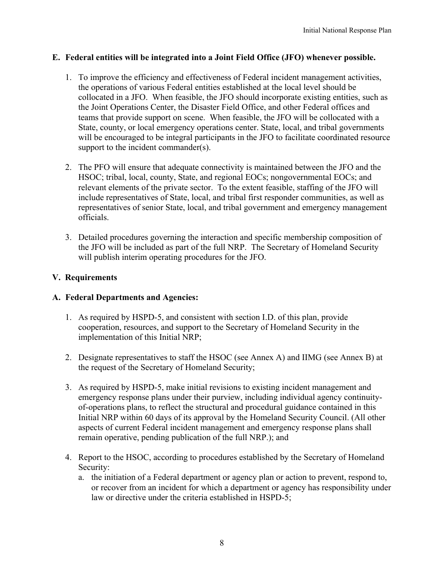#### **E. Federal entities will be integrated into a Joint Field Office (JFO) whenever possible.**

- 1. To improve the efficiency and effectiveness of Federal incident management activities, the operations of various Federal entities established at the local level should be collocated in a JFO. When feasible, the JFO should incorporate existing entities, such as the Joint Operations Center, the Disaster Field Office, and other Federal offices and teams that provide support on scene. When feasible, the JFO will be collocated with a State, county, or local emergency operations center. State, local, and tribal governments will be encouraged to be integral participants in the JFO to facilitate coordinated resource support to the incident commander(s).
- 2. The PFO will ensure that adequate connectivity is maintained between the JFO and the HSOC; tribal, local, county, State, and regional EOCs; nongovernmental EOCs; and relevant elements of the private sector. To the extent feasible, staffing of the JFO will include representatives of State, local, and tribal first responder communities, as well as representatives of senior State, local, and tribal government and emergency management officials.
- 3. Detailed procedures governing the interaction and specific membership composition of the JFO will be included as part of the full NRP. The Secretary of Homeland Security will publish interim operating procedures for the JFO.

#### **V. Requirements**

#### **A. Federal Departments and Agencies:**

- 1. As required by HSPD-5, and consistent with section I.D. of this plan, provide cooperation, resources, and support to the Secretary of Homeland Security in the implementation of this Initial NRP;
- 2. Designate representatives to staff the HSOC (see Annex A) and IIMG (see Annex B) at the request of the Secretary of Homeland Security;
- 3. As required by HSPD-5, make initial revisions to existing incident management and emergency response plans under their purview, including individual agency continuityof-operations plans, to reflect the structural and procedural guidance contained in this Initial NRP within 60 days of its approval by the Homeland Security Council. (All other aspects of current Federal incident management and emergency response plans shall remain operative, pending publication of the full NRP.); and
- 4. Report to the HSOC, according to procedures established by the Secretary of Homeland Security:
	- a. the initiation of a Federal department or agency plan or action to prevent, respond to, or recover from an incident for which a department or agency has responsibility under law or directive under the criteria established in HSPD-5;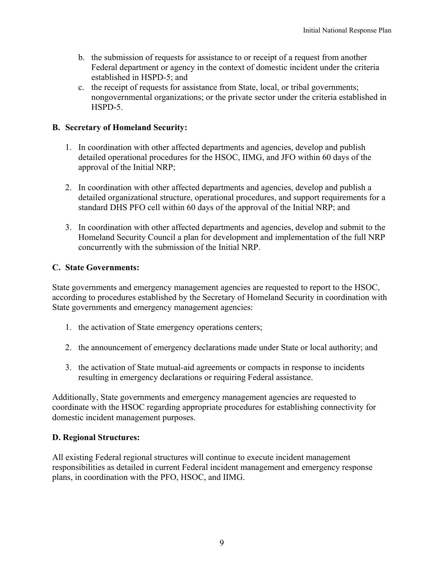- b. the submission of requests for assistance to or receipt of a request from another Federal department or agency in the context of domestic incident under the criteria established in HSPD-5; and
- c. the receipt of requests for assistance from State, local, or tribal governments; nongovernmental organizations; or the private sector under the criteria established in HSPD-5.

#### **B. Secretary of Homeland Security:**

- 1. In coordination with other affected departments and agencies, develop and publish detailed operational procedures for the HSOC, IIMG, and JFO within 60 days of the approval of the Initial NRP;
- 2. In coordination with other affected departments and agencies, develop and publish a detailed organizational structure, operational procedures, and support requirements for a standard DHS PFO cell within 60 days of the approval of the Initial NRP; and
- 3. In coordination with other affected departments and agencies, develop and submit to the Homeland Security Council a plan for development and implementation of the full NRP concurrently with the submission of the Initial NRP.

#### **C. State Governments:**

State governments and emergency management agencies are requested to report to the HSOC, according to procedures established by the Secretary of Homeland Security in coordination with State governments and emergency management agencies:

- 1. the activation of State emergency operations centers;
- 2. the announcement of emergency declarations made under State or local authority; and
- 3. the activation of State mutual-aid agreements or compacts in response to incidents resulting in emergency declarations or requiring Federal assistance.

Additionally, State governments and emergency management agencies are requested to coordinate with the HSOC regarding appropriate procedures for establishing connectivity for domestic incident management purposes.

#### **D. Regional Structures:**

All existing Federal regional structures will continue to execute incident management responsibilities as detailed in current Federal incident management and emergency response plans, in coordination with the PFO, HSOC, and IIMG.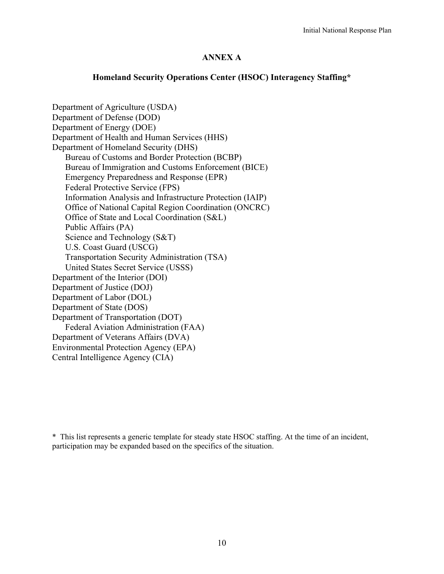#### **ANNEX A**

#### **Homeland Security Operations Center (HSOC) Interagency Staffing\***

Department of Agriculture (USDA) Department of Defense (DOD) Department of Energy (DOE) Department of Health and Human Services (HHS) Department of Homeland Security (DHS) Bureau of Customs and Border Protection (BCBP) Bureau of Immigration and Customs Enforcement (BICE) Emergency Preparedness and Response (EPR) Federal Protective Service (FPS) Information Analysis and Infrastructure Protection (IAIP) Office of National Capital Region Coordination (ONCRC) Office of State and Local Coordination (S&L) Public Affairs (PA) Science and Technology (S&T) U.S. Coast Guard (USCG) Transportation Security Administration (TSA) United States Secret Service (USSS) Department of the Interior (DOI) Department of Justice (DOJ) Department of Labor (DOL) Department of State (DOS) Department of Transportation (DOT) Federal Aviation Administration (FAA) Department of Veterans Affairs (DVA) Environmental Protection Agency (EPA) Central Intelligence Agency (CIA)

\* This list represents a generic template for steady state HSOC staffing. At the time of an incident, participation may be expanded based on the specifics of the situation.